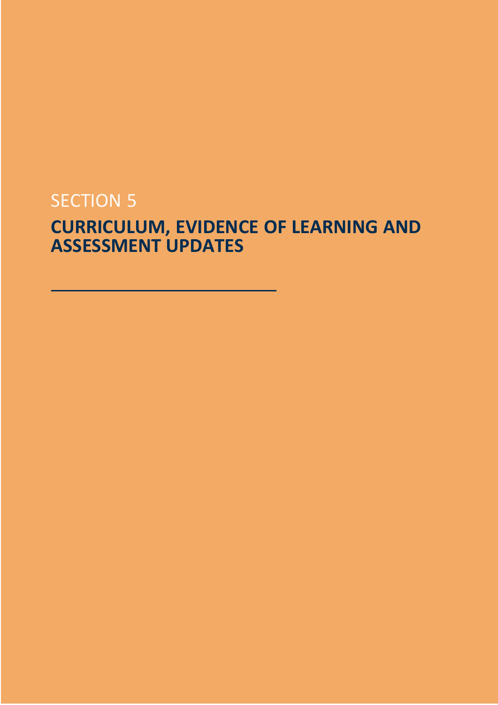# **SECTION 5**

# **CURRICULUM, EVIDENCE OF LEARNING AND ASSESSMENT UPDATES**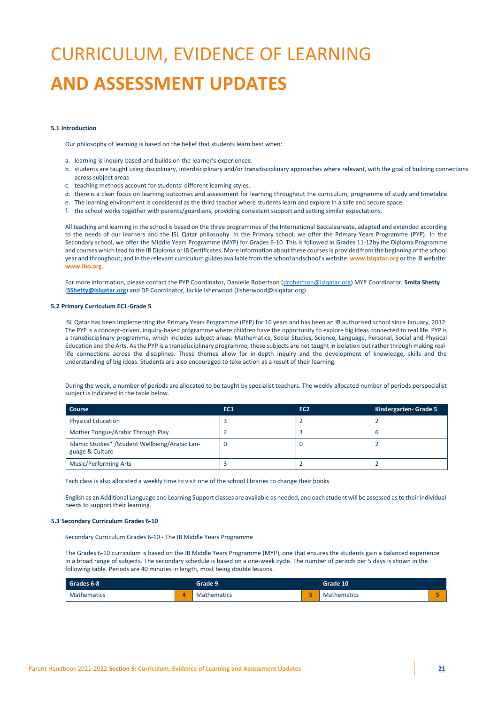# CURRICULUM, EVIDENCE OF LEARNING **AND ASSESSMENT UPDATES**

## **5.1 Introduction**

Our philosophy of learning is based on the belief that students learn best when:

- a. learning is inquiry-based and builds on the learner's experiences.
- b. students are taught using disciplinary, interdisciplinary and/or transdisciplinary approaches where relevant, with the goal of building connections across subject areas
- c. teaching methods account for students' different learning styles.
- d. there is a clear focus on learning outcomes and assessment for learning throughout the curriculum, programme of study and timetable.
- e. The learning environment is considered as the third teacher where students learn and explore in a safe and secure space.
- f. the school works together with parents/guardians, providing consistent support and setting similar expectations.

All teaching and learning in the school is based on the three programmes of the International Baccalaureate, adapted and extended according to the needs of our learners and the ISL Qatar philosophy. In the Primary school, we offer the Primary Years Programme (PYP). In the Secondary school, we offer the Middle Years Programme (MYP) for Grades 6-10. This is followed in Grades 11-12by the Diploma Programme and courses which lead to the IB Diploma or IB Certificates. More information about these courses is provided from the beginning ofthe school year and throughout; and in the relevant curriculum guides available from the school andschool's website: **[www.islqatar.org](http://www.islqatar.org/)** or the IB website: **[www.ibo.org](http://www.ibo.org/)**.

For more information, please contact the PYP Coordinator, Danielle Robertson [\(drobertson@islqatar.org\)](mailto:drobertson@islqatar.org) MYP Coordinator, **Smita Shetty** (**[SShetty@islqatar.org](mailto:SShetty@islqatar.org)**) and DP Coordinator, Jackie Isherwood (Jisherwood@islqatar.org)

# **5.2 Primary Curriculum EC1-Grade 5**

ISL Qatar has been implementing the Primary Years Programme (PYP) for 10 years and has been an IB authorised school since January, 2012. The PYP is a concept-driven, inquiry-based programme where children have the opportunity to explore big ideas connected to real life. PYP is a transdisciplinary programme, which includes subject areas: Mathematics, Social Studies, Science, Language, Personal, Social and Physical Education and the Arts. As the PYP is a transdisciplinary programme, these subjects are not taught in isolation but rather through making reallife connections across the disciplines. These themes allow for in-depth inquiry and the development of knowledge, skills and the understanding of big ideas. Students are also encouraged to take action as a result of their learning.

During the week, a number of periods are allocated to be taught by specialist teachers. The weekly allocated number of periods perspecialist subject is indicated in the table below.

| Course                                                             | <b>EC1</b> | EC <sub>2</sub> | Kindergarten- Grade 5 |
|--------------------------------------------------------------------|------------|-----------------|-----------------------|
| <b>Physical Education</b>                                          |            |                 |                       |
| Mother Tongue/Arabic Through Play                                  |            |                 | D                     |
| Islamic Studies* /Student Wellbeing/Arabic Lan-<br>guage & Culture |            |                 |                       |
| <b>Music/Performing Arts</b>                                       |            |                 |                       |

Each class is also allocated a weekly time to visit one of the school libraries to change their books.

English as an Additional Language and Learning Support classes are available as needed, and each student will be assessed as to their individual needs to support their learning.

# **5.3 Secondary Curriculum Grades 6-10**

Secondary Curriculum Grades 6-10 - The IB Middle Years Programme

The Grades 6-10 curriculum is based on the IB Middle Years Programme (MYP), one that ensures the students gain a balanced experience in a broad range of subjects. The secondary schedule is based on a one-week cycle. The number of periods per 5 days is shown in the following table. Periods are 40 minutes in length, most being double lessons.

| Grades 6-8         |   | Grade 9            |   | Grade 10           |  |
|--------------------|---|--------------------|---|--------------------|--|
| <b>Mathematics</b> | Δ | <b>Mathematics</b> | - | <b>Mathematics</b> |  |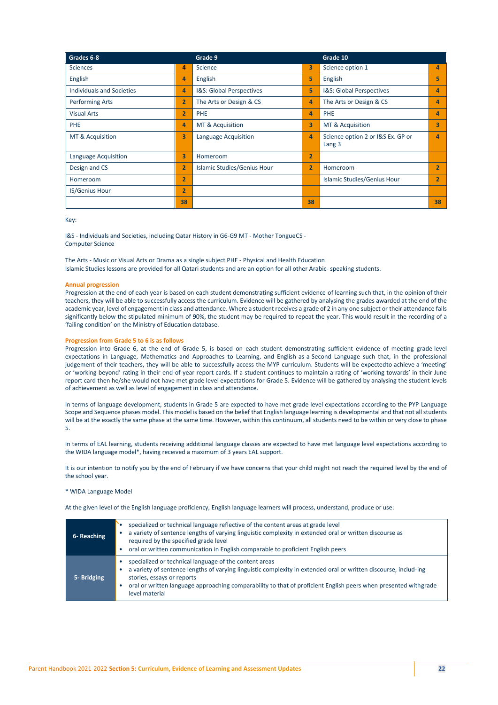| Grades 6-8                       |                | Grade 9                     |                | Grade 10                                    |                |
|----------------------------------|----------------|-----------------------------|----------------|---------------------------------------------|----------------|
| <b>Sciences</b>                  | 4              | Science                     | 3              | Science option 1                            | 4              |
| English                          | 4              | English                     | 5              | English                                     | 5              |
| <b>Individuals and Societies</b> | 4              | I&S: Global Perspectives    | 5              | I&S: Global Perspectives                    | 4              |
| <b>Performing Arts</b>           | $\overline{2}$ | The Arts or Design & CS     | 4              | The Arts or Design & CS                     | 4              |
| <b>Visual Arts</b>               | $\overline{2}$ | <b>PHE</b>                  | 4              | PHE                                         | 4              |
| <b>PHE</b>                       | 4              | MT & Acquisition            | 3              | MT & Acquisition                            | 3              |
| MT & Acquisition                 | 3              | Language Acquisition        | 4              | Science option 2 or I&S Ex. GP or<br>Lang 3 | 4              |
| Language Acquisition             | 3              | Homeroom                    | $\overline{2}$ |                                             |                |
| Design and CS                    | $\overline{2}$ | Islamic Studies/Genius Hour | $\overline{2}$ | Homeroom                                    | $\overline{2}$ |
| Homeroom                         | $\overline{2}$ |                             |                | Islamic Studies/Genius Hour                 |                |
| <b>IS/Genius Hour</b>            | $\overline{2}$ |                             |                |                                             |                |
|                                  | 38             |                             | 38             |                                             | 38             |

Key:

I&S - Individuals and Societies, including Qatar History in G6-G9 MT - Mother TongueCS - Computer Science

The Arts - Music or Visual Arts or Drama as a single subject PHE - Physical and Health Education Islamic Studies lessons are provided for all Qatari students and are an option for all other Arabic- speaking students.

# **Annual progression**

Progression at the end of each year is based on each student demonstrating sufficient evidence of learning such that, in the opinion of their teachers, they will be able to successfully access the curriculum. Evidence will be gathered by analysing the grades awarded at the end of the academic year, level of engagement in class and attendance. Where a student receives a grade of 2 in any one subject or their attendance falls significantly below the stipulated minimum of 90%, the student may be required to repeat the year. This would result in the recording of a 'failing condition' on the Ministry of Education database.

# **Progression from Grade 5 to 6 is as follows**

Progression into Grade 6, at the end of Grade 5, is based on each student demonstrating sufficient evidence of meeting grade level expectations in Language, Mathematics and Approaches to Learning, and English-as-a-Second Language such that, in the professional judgement of their teachers, they will be able to successfully access the MYP curriculum. Students will be expectedto achieve a 'meeting' or 'working beyond' rating in their end-of-year report cards. If a student continues to maintain a rating of 'working towards' in their June report card then he/she would not have met grade level expectations for Grade 5. Evidence will be gathered by analysing the student levels of achievement as well as level of engagement in class and attendance.

In terms of language development, students in Grade 5 are expected to have met grade level expectations according to the PYP Language Scope and Sequence phases model. This model is based on the belief that English language learning is developmental and that not all students will be at the exactly the same phase at the same time. However, within this continuum, all students need to be within or very close to phase 5.

In terms of EAL learning, students receiving additional language classes are expected to have met language level expectations according to the WIDA language model\*, having received a maximum of 3 years EAL support.

It is our intention to notify you by the end of February if we have concerns that your child might not reach the required level by the end of the school year.

# \* WIDA Language Model

At the given level of the English language proficiency, English language learners will process, understand, produce or use:

| 6- Reaching | specialized or technical language reflective of the content areas at grade level<br>a variety of sentence lengths of varying linguistic complexity in extended oral or written discourse as<br>required by the specified grade level<br>oral or written communication in English comparable to proficient English peers                       |
|-------------|-----------------------------------------------------------------------------------------------------------------------------------------------------------------------------------------------------------------------------------------------------------------------------------------------------------------------------------------------|
| 5- Bridging | specialized or technical language of the content areas<br>a variety of sentence lengths of varying linguistic complexity in extended oral or written discourse, includ-ing<br>stories, essays or reports<br>oral or written language approaching comparability to that of proficient English peers when presented withgrade<br>level material |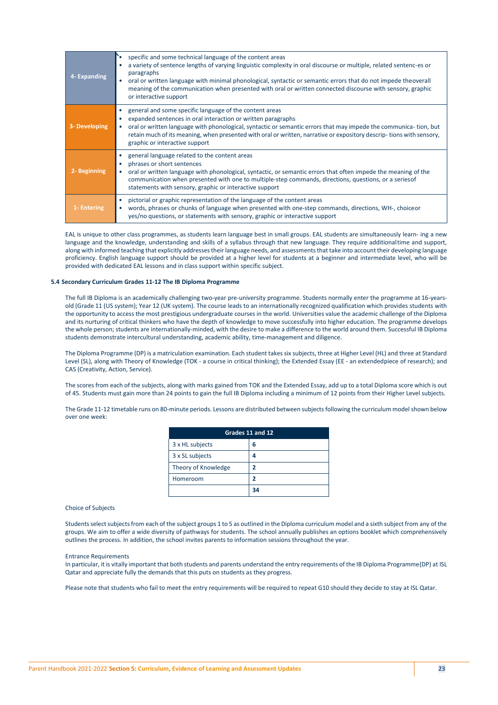| 4- Expanding  | specific and some technical language of the content areas<br>a variety of sentence lengths of varying linguistic complexity in oral discourse or multiple, related sentenc-es or<br>paragraphs<br>oral or written language with minimal phonological, syntactic or semantic errors that do not impede theoverall<br>meaning of the communication when presented with oral or written connected discourse with sensory, graphic<br>or interactive support |
|---------------|----------------------------------------------------------------------------------------------------------------------------------------------------------------------------------------------------------------------------------------------------------------------------------------------------------------------------------------------------------------------------------------------------------------------------------------------------------|
| 3- Developing | general and some specific language of the content areas<br>expanded sentences in oral interaction or written paragraphs<br>oral or written language with phonological, syntactic or semantic errors that may impede the communica-tion, but<br>retain much of its meaning, when presented with oral or written, narrative or expository descrip-tions with sensory,<br>graphic or interactive support                                                    |
| 2- Beginning  | general language related to the content areas<br>phrases or short sentences<br>oral or written language with phonological, syntactic, or semantic errors that often impede the meaning of the<br>communication when presented with one to multiple-step commands, directions, questions, or a series of<br>statements with sensory, graphic or interactive support                                                                                       |
| 1- Entering   | pictorial or graphic representation of the language of the content areas<br>$\bullet$<br>words, phrases or chunks of language when presented with one-step commands, directions, WH-, choice or<br>$\bullet$<br>yes/no questions, or statements with sensory, graphic or interactive support                                                                                                                                                             |

EAL is unique to other class programmes, as students learn language best in small groups. EAL students are simultaneously learn- ing a new language and the knowledge, understanding and skills of a syllabus through that new language. They require additionaltime and support, along with informed teaching that explicitly addresses their language needs, and assessments that take into account their developing language proficiency. English language support should be provided at a higher level for students at a beginner and intermediate level, who will be provided with dedicated EAL lessons and in class support within specific subject.

# **5.4 Secondary Curriculum Grades 11-12 The IB Diploma Programme**

The full IB Diploma is an academically challenging two-year pre-university programme. Students normally enter the programme at 16-yearsold (Grade 11 (US system); Year 12 (UK system). The course leads to an internationally recognized qualification which provides students with the opportunity to access the most prestigious undergraduate courses in the world. Universities value the academic challenge of the Diploma and its nurturing of critical thinkers who have the depth of knowledge to move successfully into higher education. The programme develops the whole person; students are internationally-minded, with the desire to make a difference to the world around them. Successful IB Diploma students demonstrate intercultural understanding, academic ability, time-management and diligence.

The Diploma Programme (DP) is a matriculation examination. Each student takessix subjects, three at Higher Level (HL) and three at Standard Level (SL), along with Theory of Knowledge (TOK - a course in critical thinking); the Extended Essay (EE - an extendedpiece of research); and CAS (Creativity, Action, Service).

The scores from each of the subjects, along with marks gained from TOK and the Extended Essay, add up to a total Diploma score which is out of 45. Students must gain more than 24 points to gain the full IB Diploma including a minimum of 12 points from their Higher Level subjects.

The Grade 11-12 timetable runs on 80-minute periods. Lessons are distributed between subjects following the curriculum modelshown below over one week:

| Grades 11 and 12    |    |  |
|---------------------|----|--|
| 3 x HL subjects     | 6  |  |
| 3 x SL subjects     |    |  |
| Theory of Knowledge |    |  |
| Homeroom            |    |  |
|                     | 34 |  |

Choice of Subjects

Studentsselectsubjectsfrom each of the subject groups 1 to 5 as outlined in the Diploma curriculum model and a sixth subject from any of the groups. We aim to offer a wide diversity of pathways for students. The school annually publishes an options booklet which comprehensively outlines the process. In addition, the school invites parents to information sessions throughout the year.

#### Entrance Requirements

In particular, it is vitally important that both students and parents understand the entry requirements of the IB Diploma Programme(DP) at ISL Qatar and appreciate fully the demands that this puts on students as they progress.

Please note that students who fail to meet the entry requirements will be required to repeat G10 should they decide to stay at ISL Qatar.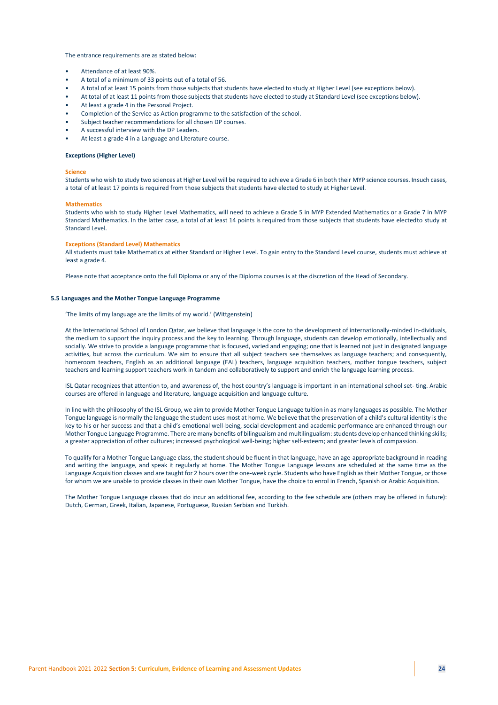The entrance requirements are as stated below:

- Attendance of at least 90%.
- A total of a minimum of 33 points out of a total of 56.
- A total of at least 15 points from those subjects that students have elected to study at Higher Level (see exceptions below).
- At total of at least 11 points from those subjects that students have elected to study at Standard Level (see exceptions below).
- At least a grade 4 in the Personal Project.
- Completion of the Service as Action programme to the satisfaction of the school.
- Subject teacher recommendations for all chosen DP courses.
- A successful interview with the DP Leaders.
- At least a grade 4 in a Language and Literature course.

#### **Exceptions (Higher Level)**

#### **Science**

Students who wish to study two sciences at Higher Level will be required to achieve a Grade 6 in both their MYP science courses. Insuch cases, a total of at least 17 points is required from those subjects that students have elected to study at Higher Level.

# **Mathematics**

Students who wish to study Higher Level Mathematics, will need to achieve a Grade 5 in MYP Extended Mathematics or a Grade 7 in MYP Standard Mathematics. In the latter case, a total of at least 14 points is required from those subjects that students have electedto study at Standard Level.

# **Exceptions (Standard Level) Mathematics**

All students must take Mathematics at either Standard or Higher Level. To gain entry to the Standard Level course, students must achieve at least a grade 4.

Please note that acceptance onto the full Diploma or any of the Diploma courses is at the discretion of the Head of Secondary.

# **5.5 Languages and the Mother Tongue Language Programme**

'The limits of my language are the limits of my world.' (Wittgenstein)

At the International School of London Qatar, we believe that language is the core to the development of internationally-minded in-dividuals, the medium to support the inquiry process and the key to learning. Through language, students can develop emotionally, intellectually and socially. We strive to provide a language programme that is focused, varied and engaging; one that is learned not just in designated language activities, but across the curriculum. We aim to ensure that all subject teachers see themselves as language teachers; and consequently, homeroom teachers, English as an additional language (EAL) teachers, language acquisition teachers, mother tongue teachers, subject teachers and learning support teachers work in tandem and collaboratively to support and enrich the language learning process.

ISL Qatar recognizes that attention to, and awareness of, the host country's language is important in an international school set- ting. Arabic courses are offered in language and literature, language acquisition and language culture.

In line with the philosophy of the ISL Group, we aim to provide Mother Tongue Language tuition in as many languages as possible. The Mother Tongue language is normally the language the student uses most at home. We believe that the preservation of a child's cultural identity is the key to his or her success and that a child's emotional well-being, social development and academic performance are enhanced through our Mother Tongue Language Programme. There are many benefits of bilingualism and multilingualism: students develop enhanced thinking skills; a greater appreciation of other cultures; increased psychological well-being; higher self-esteem; and greater levels of compassion.

To qualify for a Mother Tongue Language class, the student should be fluent in that language, have an age-appropriate background in reading and writing the language, and speak it regularly at home. The Mother Tongue Language lessons are scheduled at the same time as the Language Acquisition classes and are taught for 2 hours over the one-week cycle. Students who have English as their Mother Tongue, or those for whom we are unable to provide classes in their own Mother Tongue, have the choice to enrol in French, Spanish or Arabic Acquisition.

The Mother Tongue Language classes that do incur an additional fee, according to the fee schedule are (others may be offered in future): Dutch, German, Greek, Italian, Japanese, Portuguese, Russian Serbian and Turkish.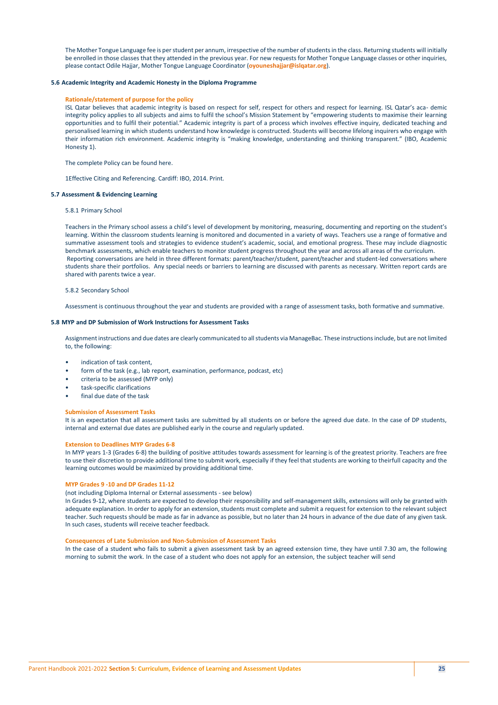The Mother Tongue Language fee is perstudent per annum, irrespective of the number ofstudentsin the class. Returning students will initially be enrolled in those classes that they attended in the previous year. For new requests for Mother Tongue Language classes or other inquiries, please contact Odile Hajjar, Mother Tongue Language Coordinator (**oyouneshajjar@islqatar.org**).

## **5.6 Academic Integrity and Academic Honesty in the Diploma Programme**

#### **Rationale/statement of purpose for the policy**

ISL Qatar believes that academic integrity is based on respect for self, respect for others and respect for learning. ISL Qatar's aca- demic integrity policy applies to all subjects and aims to fulfil the school's Mission Statement by "empowering students to maximise their learning opportunities and to fulfil their potential." Academic integrity is part of a process which involves effective inquiry, dedicated teaching and personalised learning in which students understand how knowledge is constructed. Students will become lifelong inquirers who engage with their information rich environment. Academic integrity is "making knowledge, understanding and thinking transparent." (IBO, Academic Honesty 1).

The complete Policy can be found here.

1Effective Citing and Referencing. Cardiff: IBO, 2014. Print.

#### **5.7 Assessment & Evidencing Learning**

#### 5.8.1 Primary School

Teachers in the Primary school assess a child's level of development by monitoring, measuring, documenting and reporting on the student's learning. Within the classroom students learning is monitored and documented in a variety of ways. Teachers use a range of formative and summative assessment tools and strategies to evidence student's academic, social, and emotional progress. These may include diagnostic benchmark assessments, which enable teachers to monitor student progress throughout the year and across all areas of the curriculum. Reporting conversations are held in three different formats: parent/teacher/student, parent/teacher and student-led conversations where students share their portfolios. Any special needs or barriers to learning are discussed with parents as necessary. Written report cards are shared with parents twice a year.

#### 5.8.2 Secondary School

Assessment is continuous throughout the year and students are provided with a range of assessment tasks, both formative and summative.

# **5.8 MYP and DP Submission of Work Instructions for Assessment Tasks**

Assignment instructions and due dates are clearly communicated to all students via ManageBac. These instructions include, but are not limited to, the following:

- indication of task content,
- form of the task (e.g., lab report, examination, performance, podcast, etc)
- criteria to be assessed (MYP only)
- task-specific clarifications
- final due date of the task

#### **Submission of Assessment Tasks**

It is an expectation that all assessment tasks are submitted by all students on or before the agreed due date. In the case of DP students, internal and external due dates are published early in the course and regularly updated.

# **Extension to Deadlines MYP Grades 6-8**

In MYP years 1-3 (Grades 6-8) the building of positive attitudes towards assessment for learning is of the greatest priority. Teachers are free to use their discretion to provide additional time to submit work, especially if they feel that students are working to theirfull capacity and the learning outcomes would be maximized by providing additional time.

## **MYP Grades 9 -10 and DP Grades 11-12**

(not including Diploma Internal or External assessments - see below)

In Grades 9-12, where students are expected to develop their responsibility and self-management skills, extensions will only be granted with adequate explanation. In order to apply for an extension, students must complete and submit a request for extension to the relevant subject teacher. Such requests should be made as far in advance as possible, but no later than 24 hours in advance of the due date of any given task. In such cases, students will receive teacher feedback.

# **Consequences of Late Submission and Non-Submission of Assessment Tasks**

In the case of a student who fails to submit a given assessment task by an agreed extension time, they have until 7.30 am, the following morning to submit the work. In the case of a student who does not apply for an extension, the subject teacher will send